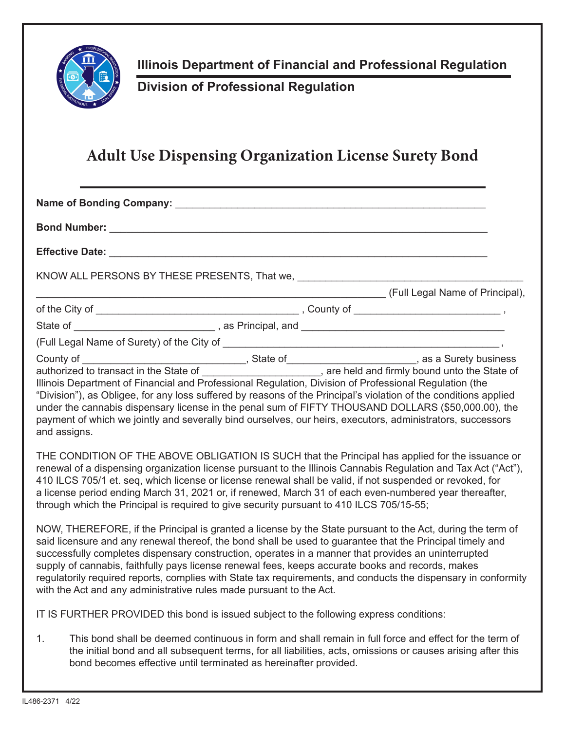

**Illinois Department of Financial and Professional Regulation Division of Professional Regulation**

## **Adult Use Dispensing Organization License Surety Bond**

|                                                                                                                                                                                                                                                                                                                                                                                                                                                                                                                                                                                                                              | (Full Legal Name of Principal), |
|------------------------------------------------------------------------------------------------------------------------------------------------------------------------------------------------------------------------------------------------------------------------------------------------------------------------------------------------------------------------------------------------------------------------------------------------------------------------------------------------------------------------------------------------------------------------------------------------------------------------------|---------------------------------|
|                                                                                                                                                                                                                                                                                                                                                                                                                                                                                                                                                                                                                              |                                 |
|                                                                                                                                                                                                                                                                                                                                                                                                                                                                                                                                                                                                                              |                                 |
|                                                                                                                                                                                                                                                                                                                                                                                                                                                                                                                                                                                                                              |                                 |
| Illinois Department of Financial and Professional Regulation, Division of Professional Regulation (the<br>"Division"), as Obligee, for any loss suffered by reasons of the Principal's violation of the conditions applied<br>under the cannabis dispensary license in the penal sum of FIFTY THOUSAND DOLLARS (\$50,000.00), the<br>payment of which we jointly and severally bind ourselves, our heirs, executors, administrators, successors<br>and assigns.                                                                                                                                                              |                                 |
| THE CONDITION OF THE ABOVE OBLIGATION IS SUCH that the Principal has applied for the issuance or<br>renewal of a dispensing organization license pursuant to the Illinois Cannabis Regulation and Tax Act ("Act"),<br>410 ILCS 705/1 et. seq, which license or license renewal shall be valid, if not suspended or revoked, for<br>a license period ending March 31, 2021 or, if renewed, March 31 of each even-numbered year thereafter,<br>through which the Principal is required to give security pursuant to 410 ILCS 705/15-55;                                                                                        |                                 |
| NOW, THEREFORE, if the Principal is granted a license by the State pursuant to the Act, during the term of<br>said licensure and any renewal thereof, the bond shall be used to guarantee that the Principal timely and<br>successfully completes dispensary construction, operates in a manner that provides an uninterrupted<br>supply of cannabis, faithfully pays license renewal fees, keeps accurate books and records, makes<br>regulatorily required reports, complies with State tax requirements, and conducts the dispensary in conformity<br>with the Act and any administrative rules made pursuant to the Act. |                                 |
| IT IS FURTHER PROVIDED this bond is issued subject to the following express conditions:                                                                                                                                                                                                                                                                                                                                                                                                                                                                                                                                      |                                 |

1. This bond shall be deemed continuous in form and shall remain in full force and effect for the term of the initial bond and all subsequent terms, for all liabilities, acts, omissions or causes arising after this bond becomes effective until terminated as hereinafter provided.